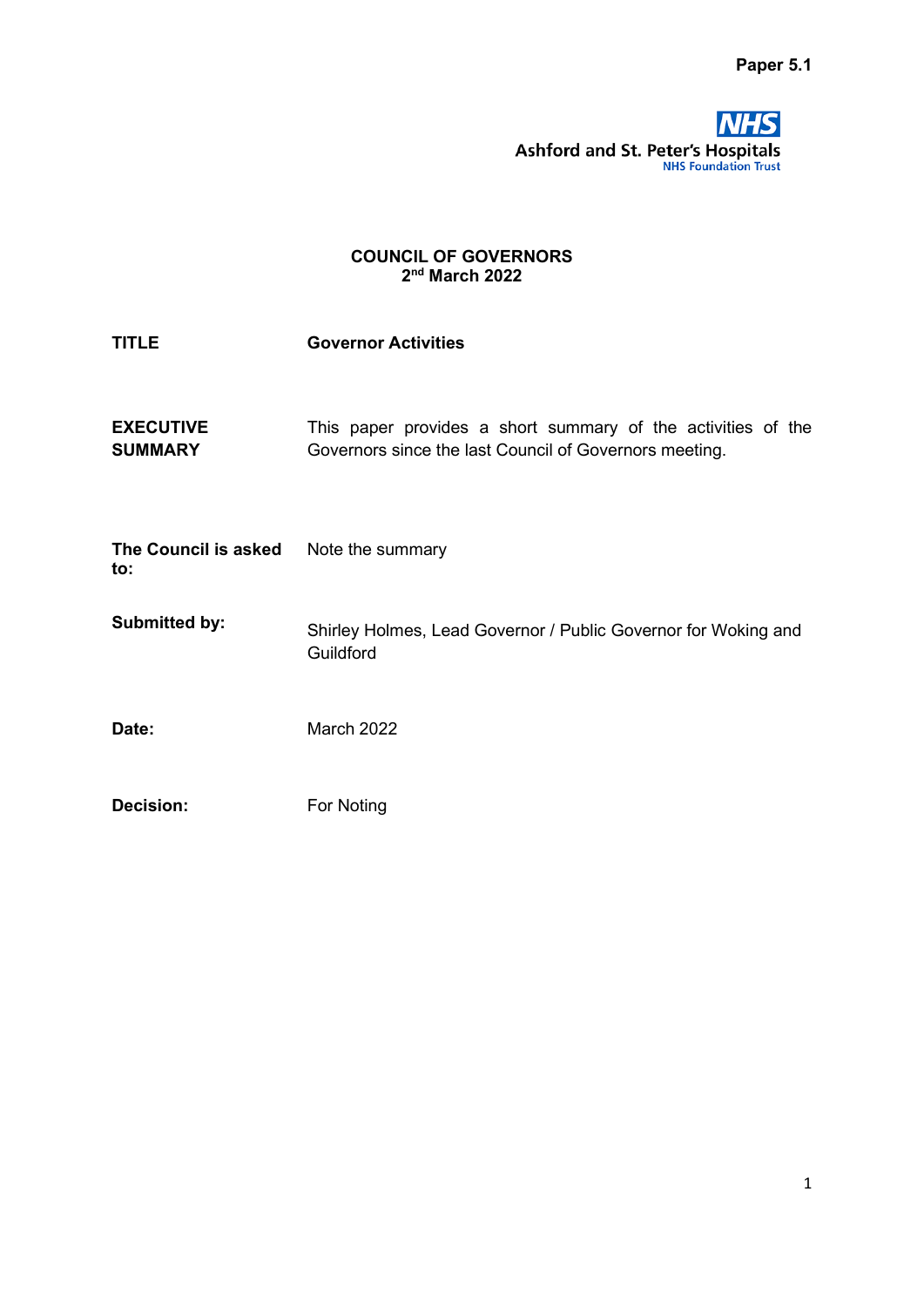

## COUNCIL OF GOVERNORS 2 nd March 2022

| <b>TITLE</b>                                 | <b>Governor Activities</b>                                                                                             |  |
|----------------------------------------------|------------------------------------------------------------------------------------------------------------------------|--|
| <b>EXECUTIVE</b><br><b>SUMMARY</b>           | This paper provides a short summary of the activities of the<br>Governors since the last Council of Governors meeting. |  |
| The Council is asked Note the summary<br>to: |                                                                                                                        |  |
| <b>Submitted by:</b>                         | Shirley Holmes, Lead Governor / Public Governor for Woking and<br>Guildford                                            |  |
| Date:                                        | <b>March 2022</b>                                                                                                      |  |
| <b>Decision:</b>                             | For Noting                                                                                                             |  |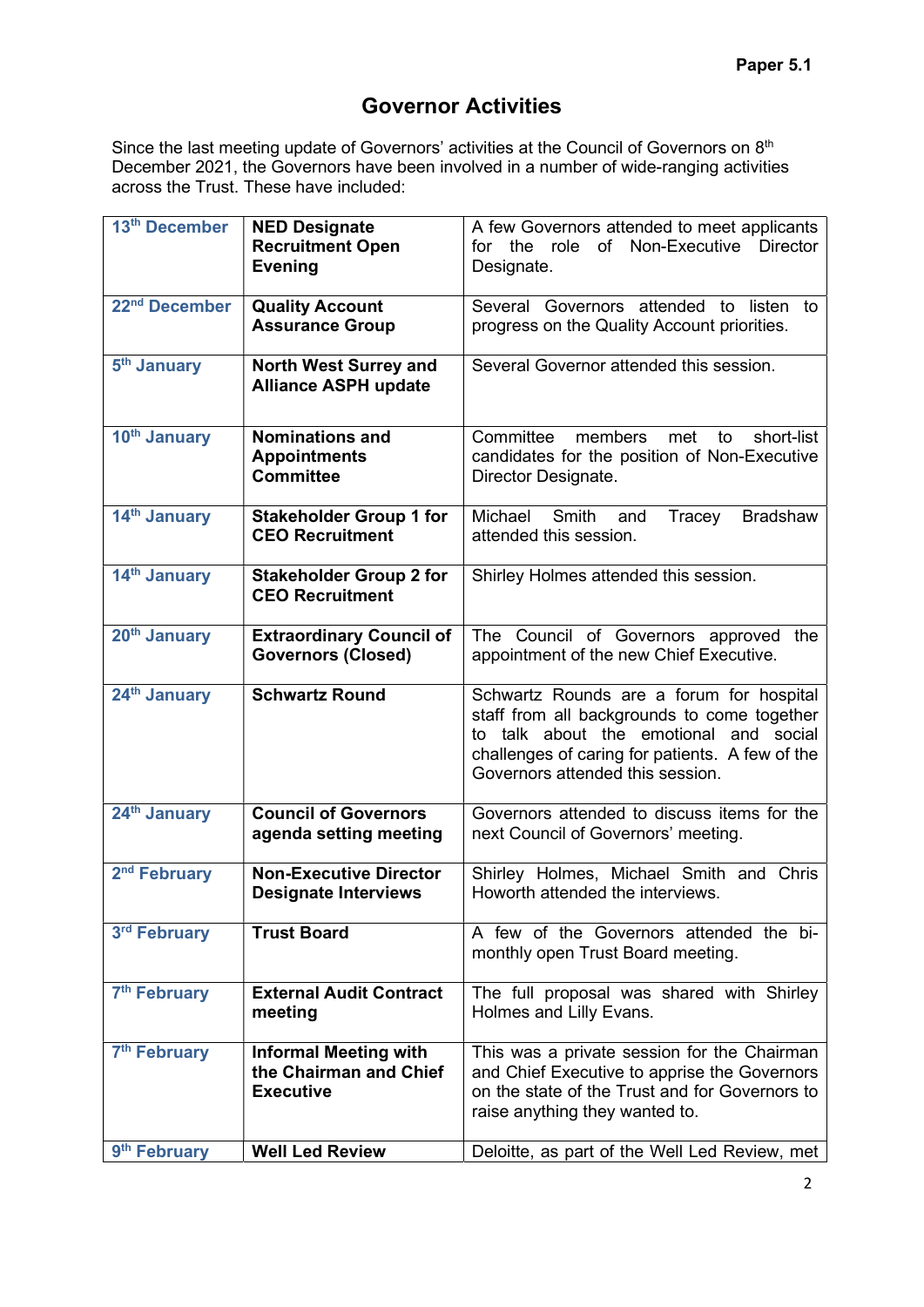## Governor Activities

Since the last meeting update of Governors' activities at the Council of Governors on 8<sup>th</sup> December 2021, the Governors have been involved in a number of wide-ranging activities across the Trust. These have included:

| 13 <sup>th</sup> December | <b>NED Designate</b>                                     | A few Governors attended to meet applicants          |
|---------------------------|----------------------------------------------------------|------------------------------------------------------|
|                           | <b>Recruitment Open</b>                                  | for the role of Non-Executive Director               |
|                           | <b>Evening</b>                                           | Designate.                                           |
|                           |                                                          |                                                      |
| 22 <sup>nd</sup> December | <b>Quality Account</b>                                   | Several Governors attended to listen<br>to           |
|                           | <b>Assurance Group</b>                                   | progress on the Quality Account priorities.          |
|                           |                                                          |                                                      |
| 5 <sup>th</sup> January   | <b>North West Surrey and</b>                             | Several Governor attended this session.              |
|                           | <b>Alliance ASPH update</b>                              |                                                      |
|                           |                                                          |                                                      |
| 10 <sup>th</sup> January  | <b>Nominations and</b>                                   | Committee<br>members<br>met<br>short-list<br>to      |
|                           | <b>Appointments</b>                                      | candidates for the position of Non-Executive         |
|                           | <b>Committee</b>                                         | Director Designate.                                  |
|                           |                                                          |                                                      |
| 14th January              | <b>Stakeholder Group 1 for</b>                           | Michael<br>Smith<br><b>Bradshaw</b><br>and<br>Tracey |
|                           | <b>CEO Recruitment</b>                                   | attended this session.                               |
|                           |                                                          |                                                      |
| 14th January              | <b>Stakeholder Group 2 for</b><br><b>CEO Recruitment</b> | Shirley Holmes attended this session.                |
|                           |                                                          |                                                      |
| 20 <sup>th</sup> January  | <b>Extraordinary Council of</b>                          | The Council of Governors approved the                |
|                           | <b>Governors (Closed)</b>                                | appointment of the new Chief Executive.              |
|                           |                                                          |                                                      |
| 24 <sup>th</sup> January  | <b>Schwartz Round</b>                                    | Schwartz Rounds are a forum for hospital             |
|                           |                                                          | staff from all backgrounds to come together          |
|                           |                                                          | to talk about the emotional and social               |
|                           |                                                          | challenges of caring for patients. A few of the      |
|                           |                                                          | Governors attended this session.                     |
|                           |                                                          |                                                      |
| 24th January              | <b>Council of Governors</b>                              | Governors attended to discuss items for the          |
|                           | agenda setting meeting                                   | next Council of Governors' meeting.                  |
| 2 <sup>nd</sup> February  | <b>Non-Executive Director</b>                            | Shirley Holmes, Michael Smith and Chris              |
|                           | <b>Designate Interviews</b>                              | Howorth attended the interviews.                     |
|                           |                                                          |                                                      |
| 3rd February              | <b>Trust Board</b>                                       | A few of the Governors attended the bi-              |
|                           |                                                          | monthly open Trust Board meeting.                    |
|                           |                                                          |                                                      |
| 7 <sup>th</sup> February  | <b>External Audit Contract</b>                           | The full proposal was shared with Shirley            |
|                           | meeting                                                  | Holmes and Lilly Evans.                              |
|                           |                                                          |                                                      |
| 7 <sup>th</sup> February  | <b>Informal Meeting with</b>                             | This was a private session for the Chairman          |
|                           | the Chairman and Chief                                   | and Chief Executive to apprise the Governors         |
|                           | <b>Executive</b>                                         | on the state of the Trust and for Governors to       |
|                           |                                                          | raise anything they wanted to.                       |
|                           | <b>Well Led Review</b>                                   |                                                      |
| 9 <sup>th</sup> February  |                                                          | Deloitte, as part of the Well Led Review, met        |